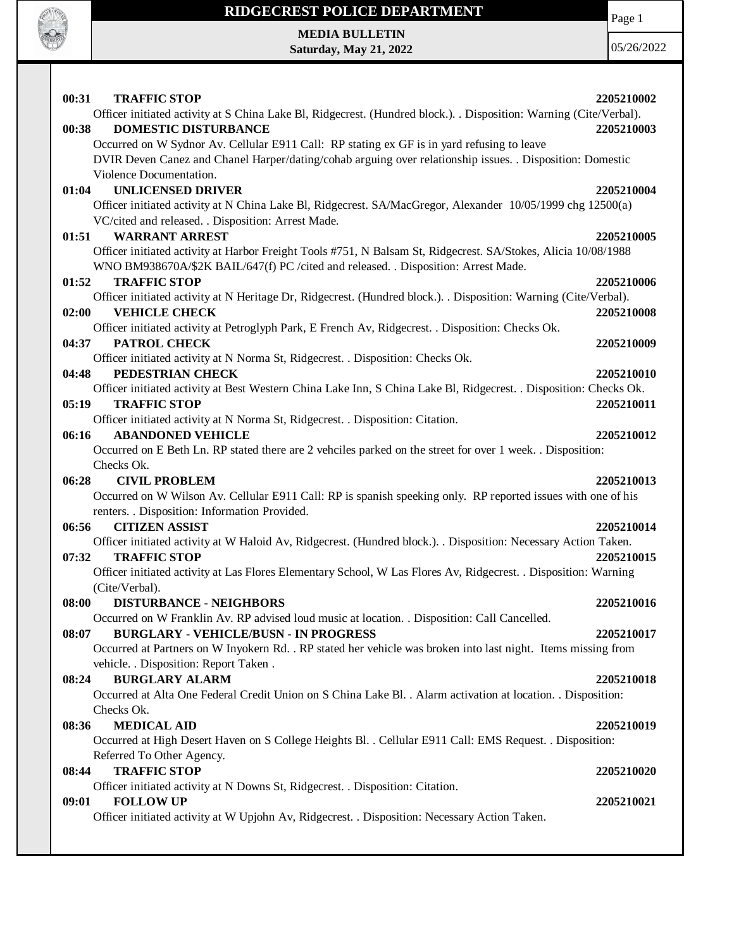

# **RIDGECREST POLICE DEPARTMENT MEDIA BULLETIN**

**Saturday, May 21, 2022**

Page 1

| 00:31 | <b>TRAFFIC STOP</b>                                                                                                                                                                                  | 2205210002 |
|-------|------------------------------------------------------------------------------------------------------------------------------------------------------------------------------------------------------|------------|
|       | Officer initiated activity at S China Lake Bl, Ridgecrest. (Hundred block.). . Disposition: Warning (Cite/Verbal).                                                                                   |            |
| 00:38 | <b>DOMESTIC DISTURBANCE</b>                                                                                                                                                                          | 2205210003 |
|       | Occurred on W Sydnor Av. Cellular E911 Call: RP stating ex GF is in yard refusing to leave                                                                                                           |            |
|       | DVIR Deven Canez and Chanel Harper/dating/cohab arguing over relationship issues. . Disposition: Domestic                                                                                            |            |
|       | Violence Documentation.                                                                                                                                                                              |            |
| 01:04 | <b>UNLICENSED DRIVER</b>                                                                                                                                                                             | 2205210004 |
|       | Officer initiated activity at N China Lake Bl, Ridgecrest. SA/MacGregor, Alexander 10/05/1999 chg 12500(a)                                                                                           |            |
|       | VC/cited and released. . Disposition: Arrest Made.                                                                                                                                                   |            |
| 01:51 | <b>WARRANT ARREST</b>                                                                                                                                                                                | 2205210005 |
|       | Officer initiated activity at Harbor Freight Tools #751, N Balsam St, Ridgecrest. SA/Stokes, Alicia 10/08/1988<br>WNO BM938670A/\$2K BAIL/647(f) PC /cited and released. . Disposition: Arrest Made. |            |
| 01:52 | <b>TRAFFIC STOP</b>                                                                                                                                                                                  | 2205210006 |
|       | Officer initiated activity at N Heritage Dr, Ridgecrest. (Hundred block.). Disposition: Warning (Cite/Verbal).                                                                                       |            |
| 02:00 | <b>VEHICLE CHECK</b>                                                                                                                                                                                 | 2205210008 |
|       | Officer initiated activity at Petroglyph Park, E French Av, Ridgecrest. . Disposition: Checks Ok.                                                                                                    |            |
| 04:37 | <b>PATROL CHECK</b>                                                                                                                                                                                  | 2205210009 |
|       | Officer initiated activity at N Norma St, Ridgecrest. . Disposition: Checks Ok.                                                                                                                      |            |
| 04:48 | PEDESTRIAN CHECK                                                                                                                                                                                     | 2205210010 |
|       | Officer initiated activity at Best Western China Lake Inn, S China Lake Bl, Ridgecrest. . Disposition: Checks Ok.                                                                                    |            |
| 05:19 | <b>TRAFFIC STOP</b>                                                                                                                                                                                  | 2205210011 |
|       | Officer initiated activity at N Norma St, Ridgecrest. . Disposition: Citation.                                                                                                                       |            |
| 06:16 | <b>ABANDONED VEHICLE</b>                                                                                                                                                                             | 2205210012 |
|       | Occurred on E Beth Ln. RP stated there are 2 vehciles parked on the street for over 1 week. . Disposition:                                                                                           |            |
|       | Checks Ok.                                                                                                                                                                                           |            |
| 06:28 | <b>CIVIL PROBLEM</b><br>Occurred on W Wilson Av. Cellular E911 Call: RP is spanish speeking only. RP reported issues with one of his                                                                 | 2205210013 |
|       | renters. . Disposition: Information Provided.                                                                                                                                                        |            |
| 06:56 | <b>CITIZEN ASSIST</b>                                                                                                                                                                                | 2205210014 |
|       | Officer initiated activity at W Haloid Av, Ridgecrest. (Hundred block.). . Disposition: Necessary Action Taken.                                                                                      |            |
| 07:32 | <b>TRAFFIC STOP</b>                                                                                                                                                                                  | 2205210015 |
|       | Officer initiated activity at Las Flores Elementary School, W Las Flores Av, Ridgecrest. . Disposition: Warning                                                                                      |            |
|       | (Cite/Verbal).                                                                                                                                                                                       |            |
| 08:00 | <b>DISTURBANCE - NEIGHBORS</b>                                                                                                                                                                       | 2205210016 |
|       | Occurred on W Franklin Av. RP advised loud music at location. . Disposition: Call Cancelled.                                                                                                         |            |
| 08:07 | <b>BURGLARY - VEHICLE/BUSN - IN PROGRESS</b>                                                                                                                                                         | 2205210017 |
|       | Occurred at Partners on W Inyokern Rd. . RP stated her vehicle was broken into last night. Items missing from                                                                                        |            |
|       | vehicle. . Disposition: Report Taken .                                                                                                                                                               |            |
| 08:24 | <b>BURGLARY ALARM</b>                                                                                                                                                                                | 2205210018 |
|       | Occurred at Alta One Federal Credit Union on S China Lake Bl. . Alarm activation at location. . Disposition:                                                                                         |            |
|       | Checks Ok.                                                                                                                                                                                           |            |
| 08:36 | <b>MEDICAL AID</b>                                                                                                                                                                                   | 2205210019 |
|       | Occurred at High Desert Haven on S College Heights Bl. . Cellular E911 Call: EMS Request. . Disposition:                                                                                             |            |
|       | Referred To Other Agency.                                                                                                                                                                            |            |
| 08:44 | <b>TRAFFIC STOP</b>                                                                                                                                                                                  | 2205210020 |
|       | Officer initiated activity at N Downs St, Ridgecrest. . Disposition: Citation.                                                                                                                       |            |
| 09:01 | <b>FOLLOW UP</b>                                                                                                                                                                                     | 2205210021 |
|       | Officer initiated activity at W Upjohn Av, Ridgecrest. . Disposition: Necessary Action Taken.                                                                                                        |            |
|       |                                                                                                                                                                                                      |            |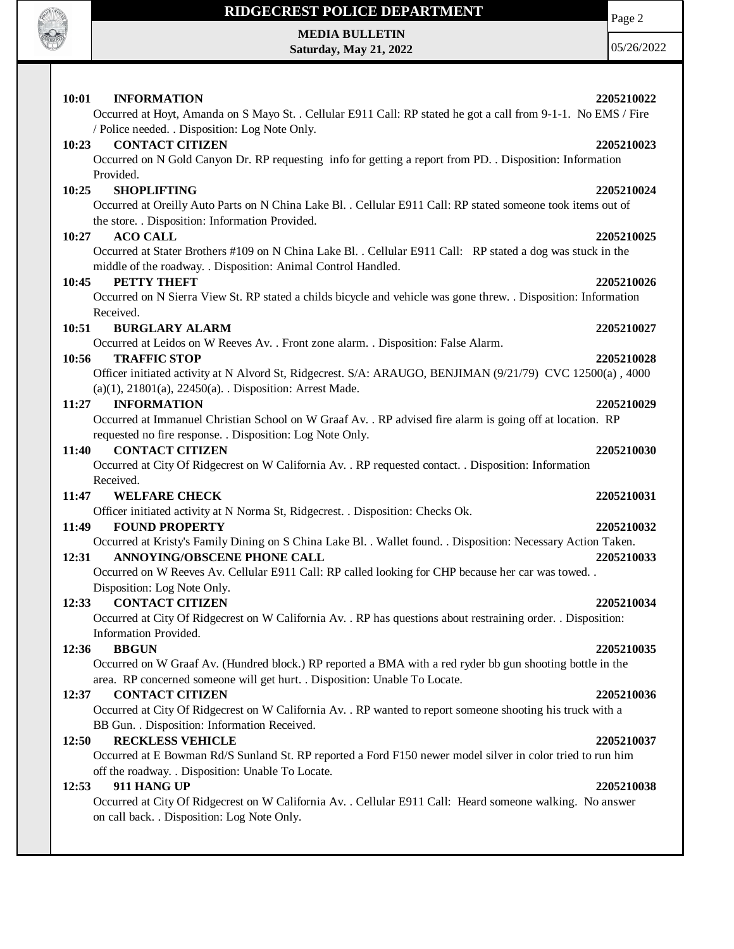

#### **RIDGECREST POLICE DEPARTMENT MEDIA BULLETIN**

**Saturday, May 21, 2022**

Page 2

05/26/2022

**10:01 INFORMATION 2205210022** Occurred at Hoyt, Amanda on S Mayo St. . Cellular E911 Call: RP stated he got a call from 9-1-1. No EMS / Fire / Police needed. . Disposition: Log Note Only. **10:23 CONTACT CITIZEN 2205210023** Occurred on N Gold Canyon Dr. RP requesting info for getting a report from PD. . Disposition: Information Provided. **10:25 SHOPLIFTING 2205210024** Occurred at Oreilly Auto Parts on N China Lake Bl. . Cellular E911 Call: RP stated someone took items out of the store. . Disposition: Information Provided. **10:27 ACO CALL 2205210025** Occurred at Stater Brothers #109 on N China Lake Bl. . Cellular E911 Call: RP stated a dog was stuck in the middle of the roadway. . Disposition: Animal Control Handled. **10:45 PETTY THEFT 2205210026** Occurred on N Sierra View St. RP stated a childs bicycle and vehicle was gone threw. . Disposition: Information Received. **10:51 BURGLARY ALARM 2205210027** Occurred at Leidos on W Reeves Av. . Front zone alarm. . Disposition: False Alarm. **10:56 TRAFFIC STOP 2205210028** Officer initiated activity at N Alvord St, Ridgecrest. S/A: ARAUGO, BENJIMAN (9/21/79) CVC 12500(a) , 4000 (a)(1), 21801(a), 22450(a). . Disposition: Arrest Made. **11:27 INFORMATION 2205210029** Occurred at Immanuel Christian School on W Graaf Av. . RP advised fire alarm is going off at location. RP requested no fire response. . Disposition: Log Note Only. **11:40 CONTACT CITIZEN 2205210030** Occurred at City Of Ridgecrest on W California Av. . RP requested contact. . Disposition: Information Received. **11:47 WELFARE CHECK 2205210031** Officer initiated activity at N Norma St, Ridgecrest. . Disposition: Checks Ok. **11:49 FOUND PROPERTY 2205210032** Occurred at Kristy's Family Dining on S China Lake Bl. . Wallet found. . Disposition: Necessary Action Taken. **12:31 ANNOYING/OBSCENE PHONE CALL 2205210033** Occurred on W Reeves Av. Cellular E911 Call: RP called looking for CHP because her car was towed. . Disposition: Log Note Only. **12:33 CONTACT CITIZEN 2205210034** Occurred at City Of Ridgecrest on W California Av. . RP has questions about restraining order. . Disposition: Information Provided. **12:36 BBGUN 2205210035** Occurred on W Graaf Av. (Hundred block.) RP reported a BMA with a red ryder bb gun shooting bottle in the area. RP concerned someone will get hurt. . Disposition: Unable To Locate. **12:37 CONTACT CITIZEN 2205210036** Occurred at City Of Ridgecrest on W California Av. . RP wanted to report someone shooting his truck with a BB Gun. . Disposition: Information Received. **12:50 RECKLESS VEHICLE 2205210037** Occurred at E Bowman Rd/S Sunland St. RP reported a Ford F150 newer model silver in color tried to run him off the roadway. . Disposition: Unable To Locate. **12:53 911 HANG UP 2205210038** Occurred at City Of Ridgecrest on W California Av. . Cellular E911 Call: Heard someone walking. No answer on call back. . Disposition: Log Note Only.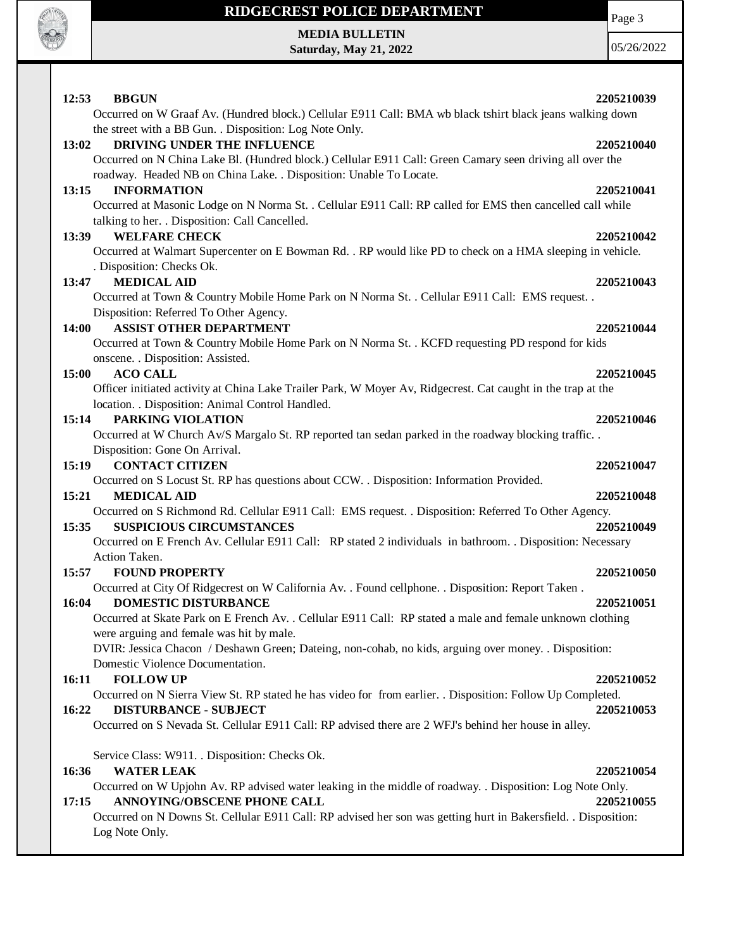

 $\mathsf{I}$ 

# **RIDGECREST POLICE DEPARTMENT MEDIA BULLETIN**

**Saturday, May 21, 2022**

Page 3

| 12:53<br><b>BBGUN</b>                                                                                                                   | 2205210039 |
|-----------------------------------------------------------------------------------------------------------------------------------------|------------|
| Occurred on W Graaf Av. (Hundred block.) Cellular E911 Call: BMA wb black tshirt black jeans walking down                               |            |
| the street with a BB Gun. . Disposition: Log Note Only.                                                                                 |            |
| DRIVING UNDER THE INFLUENCE<br>13:02                                                                                                    | 2205210040 |
| Occurred on N China Lake Bl. (Hundred block.) Cellular E911 Call: Green Camary seen driving all over the                                |            |
| roadway. Headed NB on China Lake. . Disposition: Unable To Locate.                                                                      |            |
| 13:15<br><b>INFORMATION</b>                                                                                                             | 2205210041 |
| Occurred at Masonic Lodge on N Norma St. . Cellular E911 Call: RP called for EMS then cancelled call while                              |            |
| talking to her. . Disposition: Call Cancelled.                                                                                          |            |
| <b>WELFARE CHECK</b><br>13:39                                                                                                           | 2205210042 |
| Occurred at Walmart Supercenter on E Bowman Rd. . RP would like PD to check on a HMA sleeping in vehicle.                               |            |
| . Disposition: Checks Ok.                                                                                                               |            |
| <b>MEDICAL AID</b><br>13:47                                                                                                             | 2205210043 |
| Occurred at Town & Country Mobile Home Park on N Norma St. . Cellular E911 Call: EMS request. .                                         |            |
| Disposition: Referred To Other Agency.                                                                                                  |            |
| <b>ASSIST OTHER DEPARTMENT</b><br><b>14:00</b>                                                                                          | 2205210044 |
| Occurred at Town & Country Mobile Home Park on N Norma St. . KCFD requesting PD respond for kids                                        |            |
| onscene. . Disposition: Assisted.                                                                                                       |            |
| <b>ACO CALL</b><br>15:00                                                                                                                | 2205210045 |
| Officer initiated activity at China Lake Trailer Park, W Moyer Av, Ridgecrest. Cat caught in the trap at the                            |            |
| location. . Disposition: Animal Control Handled.                                                                                        |            |
| PARKING VIOLATION<br>15:14                                                                                                              | 2205210046 |
|                                                                                                                                         |            |
| Occurred at W Church Av/S Margalo St. RP reported tan sedan parked in the roadway blocking traffic                                      |            |
| Disposition: Gone On Arrival.<br><b>CONTACT CITIZEN</b><br>15:19                                                                        | 2205210047 |
| Occurred on S Locust St. RP has questions about CCW. . Disposition: Information Provided.                                               |            |
|                                                                                                                                         | 2205210048 |
| 15:21<br><b>MEDICAL AID</b>                                                                                                             |            |
| Occurred on S Richmond Rd. Cellular E911 Call: EMS request. . Disposition: Referred To Other Agency.<br><b>SUSPICIOUS CIRCUMSTANCES</b> |            |
| 15:35                                                                                                                                   | 2205210049 |
| Occurred on E French Av. Cellular E911 Call: RP stated 2 individuals in bathroom. . Disposition: Necessary                              |            |
| Action Taken.                                                                                                                           |            |
| 15:57<br><b>FOUND PROPERTY</b>                                                                                                          | 2205210050 |
| Occurred at City Of Ridgecrest on W California Av. . Found cellphone. . Disposition: Report Taken.                                      |            |
| <b>DOMESTIC DISTURBANCE</b><br>16:04                                                                                                    | 2205210051 |
| Occurred at Skate Park on E French Av. . Cellular E911 Call: RP stated a male and female unknown clothing                               |            |
| were arguing and female was hit by male.                                                                                                |            |
| DVIR: Jessica Chacon / Deshawn Green; Dateing, non-cohab, no kids, arguing over money. . Disposition:                                   |            |
| Domestic Violence Documentation.                                                                                                        |            |
| <b>FOLLOW UP</b><br>16:11                                                                                                               | 2205210052 |
| Occurred on N Sierra View St. RP stated he has video for from earlier. . Disposition: Follow Up Completed.                              |            |
| 16:22<br><b>DISTURBANCE - SUBJECT</b>                                                                                                   | 2205210053 |
| Occurred on S Nevada St. Cellular E911 Call: RP advised there are 2 WFJ's behind her house in alley.                                    |            |
|                                                                                                                                         |            |
| Service Class: W911. . Disposition: Checks Ok.                                                                                          |            |
| 16:36<br><b>WATER LEAK</b>                                                                                                              | 2205210054 |
| Occurred on W Upjohn Av. RP advised water leaking in the middle of roadway. . Disposition: Log Note Only.                               |            |
| ANNOYING/OBSCENE PHONE CALL<br>17:15                                                                                                    | 2205210055 |
| Occurred on N Downs St. Cellular E911 Call: RP advised her son was getting hurt in Bakersfield. . Disposition:                          |            |
| Log Note Only.                                                                                                                          |            |
|                                                                                                                                         |            |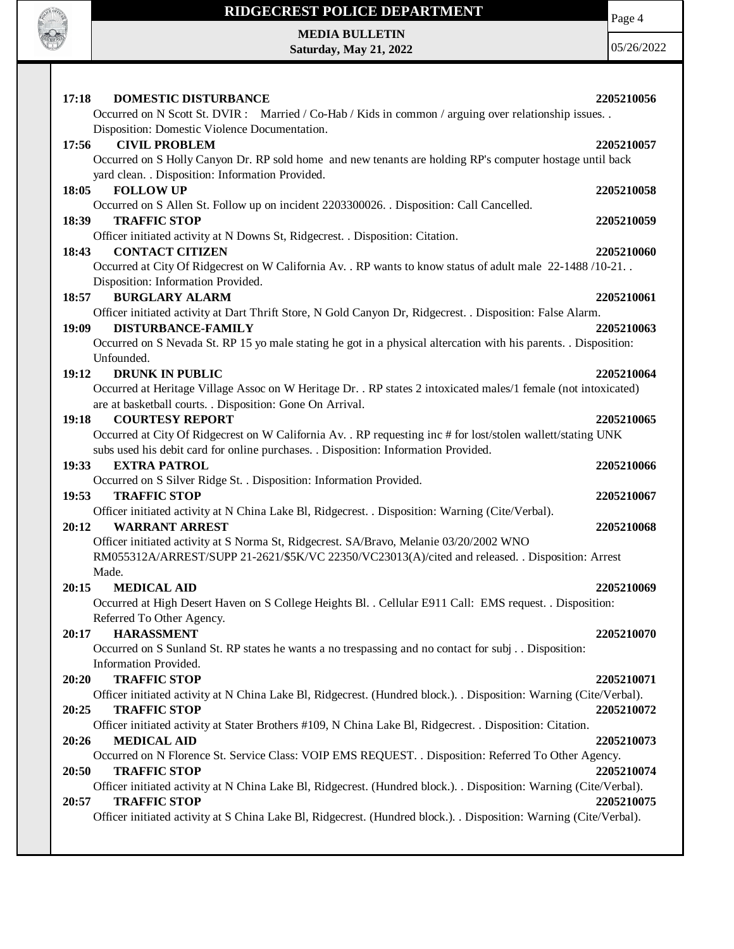

#### **RIDGECREST POLICE DEPARTMENT**

Page 4

**MEDIA BULLETIN Saturday, May 21, 2022**

| <b>DOMESTIC DISTURBANCE</b><br>17:18                                                                               | 2205210056 |  |
|--------------------------------------------------------------------------------------------------------------------|------------|--|
| Occurred on N Scott St. DVIR : Married / Co-Hab / Kids in common / arguing over relationship issues. .             |            |  |
| Disposition: Domestic Violence Documentation.                                                                      |            |  |
| 17:56<br><b>CIVIL PROBLEM</b><br>2205210057                                                                        |            |  |
| Occurred on S Holly Canyon Dr. RP sold home and new tenants are holding RP's computer hostage until back           |            |  |
| yard clean. . Disposition: Information Provided.                                                                   |            |  |
| 18:05<br><b>FOLLOW UP</b><br>2205210058                                                                            |            |  |
| Occurred on S Allen St. Follow up on incident 2203300026. Disposition: Call Cancelled.                             |            |  |
| <b>TRAFFIC STOP</b><br>18:39<br>2205210059                                                                         |            |  |
| Officer initiated activity at N Downs St, Ridgecrest. . Disposition: Citation.                                     |            |  |
| <b>CONTACT CITIZEN</b><br>18:43<br>2205210060                                                                      |            |  |
| Occurred at City Of Ridgecrest on W California Av. . RP wants to know status of adult male 22-1488/10-21. .        |            |  |
| Disposition: Information Provided.                                                                                 |            |  |
| <b>BURGLARY ALARM</b><br>18:57<br>2205210061                                                                       |            |  |
| Officer initiated activity at Dart Thrift Store, N Gold Canyon Dr, Ridgecrest. . Disposition: False Alarm.         |            |  |
| 19:09<br><b>DISTURBANCE-FAMILY</b><br>2205210063                                                                   |            |  |
| Occurred on S Nevada St. RP 15 yo male stating he got in a physical altercation with his parents. Disposition:     |            |  |
| Unfounded.                                                                                                         |            |  |
| <b>DRUNK IN PUBLIC</b><br>19:12<br>2205210064                                                                      |            |  |
| Occurred at Heritage Village Assoc on W Heritage Dr. . RP states 2 intoxicated males/1 female (not intoxicated)    |            |  |
| are at basketball courts. . Disposition: Gone On Arrival.                                                          |            |  |
| <b>COURTESY REPORT</b><br>19:18<br>2205210065                                                                      |            |  |
| Occurred at City Of Ridgecrest on W California Av. . RP requesting inc # for lost/stolen wallett/stating UNK       |            |  |
| subs used his debit card for online purchases. . Disposition: Information Provided.                                |            |  |
| 19:33<br><b>EXTRA PATROL</b><br>2205210066                                                                         |            |  |
| Occurred on S Silver Ridge St. . Disposition: Information Provided.                                                |            |  |
| <b>TRAFFIC STOP</b><br>19:53<br>2205210067                                                                         |            |  |
| Officer initiated activity at N China Lake Bl, Ridgecrest. . Disposition: Warning (Cite/Verbal).                   |            |  |
| <b>WARRANT ARREST</b><br>20:12<br>2205210068                                                                       |            |  |
| Officer initiated activity at S Norma St, Ridgecrest. SA/Bravo, Melanie 03/20/2002 WNO                             |            |  |
| RM055312A/ARREST/SUPP 21-2621/\$5K/VC 22350/VC23013(A)/cited and released. . Disposition: Arrest                   |            |  |
| Made.                                                                                                              |            |  |
| 20:15<br><b>MEDICAL AID</b><br>2205210069                                                                          |            |  |
| Occurred at High Desert Haven on S College Heights Bl. . Cellular E911 Call: EMS request. . Disposition:           |            |  |
| Referred To Other Agency.                                                                                          |            |  |
| <b>HARASSMENT</b><br>20:17<br>2205210070                                                                           |            |  |
| Occurred on S Sunland St. RP states he wants a no trespassing and no contact for subj. . Disposition:              |            |  |
| Information Provided.                                                                                              |            |  |
| <b>TRAFFIC STOP</b><br>20:20<br>2205210071                                                                         |            |  |
| Officer initiated activity at N China Lake Bl, Ridgecrest. (Hundred block.). . Disposition: Warning (Cite/Verbal). |            |  |
| 20:25<br><b>TRAFFIC STOP</b><br>2205210072                                                                         |            |  |
| Officer initiated activity at Stater Brothers #109, N China Lake Bl, Ridgecrest. . Disposition: Citation.          |            |  |
| 20:26<br><b>MEDICAL AID</b><br>2205210073                                                                          |            |  |
| Occurred on N Florence St. Service Class: VOIP EMS REQUEST. . Disposition: Referred To Other Agency.               |            |  |
| 20:50<br><b>TRAFFIC STOP</b><br>2205210074                                                                         |            |  |
| Officer initiated activity at N China Lake Bl, Ridgecrest. (Hundred block.). . Disposition: Warning (Cite/Verbal). |            |  |
| <b>TRAFFIC STOP</b><br>2205210075<br>20:57                                                                         |            |  |
| Officer initiated activity at S China Lake Bl, Ridgecrest. (Hundred block.). Disposition: Warning (Cite/Verbal).   |            |  |
|                                                                                                                    |            |  |